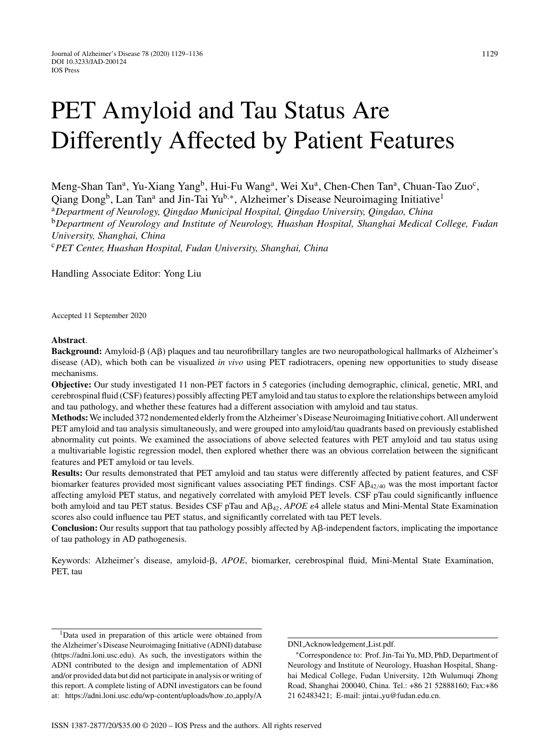# PET Amyloid and Tau Status Are Differently Affected by Patient Features

Meng-Shan Tan<sup>a</sup>, Yu-Xiang Yang<sup>b</sup>, Hui-Fu Wang<sup>a</sup>, Wei Xu<sup>a</sup>, Chen-Chen Tan<sup>a</sup>, Chuan-Tao Zuo<sup>c</sup>, Qiang Dong<sup>b</sup>, Lan Tan<sup>a</sup> and Jin-Tai Yu<sup>b,∗</sup>, Alzheimer's Disease Neuroimaging Initiative<sup>1</sup> <sup>a</sup>*Department of Neurology, Qingdao Municipal Hospital, Qingdao University, Qingdao, China* <sup>b</sup>*Department of Neurology and Institute of Neurology, Huashan Hospital, Shanghai Medical College, Fudan University, Shanghai, China* <sup>c</sup>*PET Center, Huashan Hospital, Fudan University, Shanghai, China*

Handling Associate Editor: Yong Liu

Accepted 11 September 2020

#### **Abstract**.

Background: Amyloid- $\beta$  (A $\beta$ ) plaques and tau neurofibrillary tangles are two neuropathological hallmarks of Alzheimer's disease (AD), which both can be visualized *in vivo* using PET radiotracers, opening new opportunities to study disease mechanisms.

**Objective:** Our study investigated 11 non-PET factors in 5 categories (including demographic, clinical, genetic, MRI, and cerebrospinal fluid (CSF) features) possibly affecting PET amyloid and tau status to explore the relationships between amyloid and tau pathology, and whether these features had a different association with amyloid and tau status.

**Methods:**We included 372 nondemented elderly from the Alzheimer's Disease Neuroimaging Initiative cohort. All underwent PET amyloid and tau analysis simultaneously, and were grouped into amyloid/tau quadrants based on previously established abnormality cut points. We examined the associations of above selected features with PET amyloid and tau status using a multivariable logistic regression model, then explored whether there was an obvious correlation between the significant features and PET amyloid or tau levels.

**Results:** Our results demonstrated that PET amyloid and tau status were differently affected by patient features, and CSF biomarker features provided most significant values associating PET findings. CSF  $\mathsf{AB}_{42/40}$  was the most important factor affecting amyloid PET status, and negatively correlated with amyloid PET levels. CSF pTau could significantly influence both amyloid and tau PET status. Besides CSF pTau and A $\beta_{42}$ , *APOE*  $\varepsilon$ 4 allele status and Mini-Mental State Examination scores also could influence tau PET status, and significantly correlated with tau PET levels.

**Conclusion:** Our results support that tau pathology possibly affected by A<sub>B</sub>-independent factors, implicating the importance of tau pathology in AD pathogenesis.

Keywords: Alzheimer's disease, amyloid- $\beta$ , *APOE*, biomarker, cerebrospinal fluid, Mini-Mental State Examination, PET, tau

DNI Acknowledgement List.pdf.

<sup>1</sup>Data used in preparation of this article were obtained from the Alzheimer's Disease Neuroimaging Initiative (ADNI) database ([https://adni.loni.usc.edu\)](https://adni.loni.usc.edu). As such, the investigators within the ADNI contributed to the design and implementation of ADNI and/or provided data but did not participate in analysis or writing of this report. A complete listing of ADNI investigators can be found at: [https://adni.loni.usc.edu/wp-content/uploads/how](https://adni.loni.usc.edu/wp-content/uploads/how_to_apply/ADNI_Acknowledgement_List.pdf.) to apply/A

<sup>∗</sup>Correspondence to: Prof. Jin-Tai Yu, MD, PhD, Department of Neurology and Institute of Neurology, Huashan Hospital, Shanghai Medical College, Fudan University, 12th Wulumuqi Zhong Road, Shanghai 200040, China. Tel.: +86 21 52888160; Fax:+86 21 62483421; E-mail: jintai [yu@fudan.edu.cn](mailto:jintai_yu@fudan.edu.cn).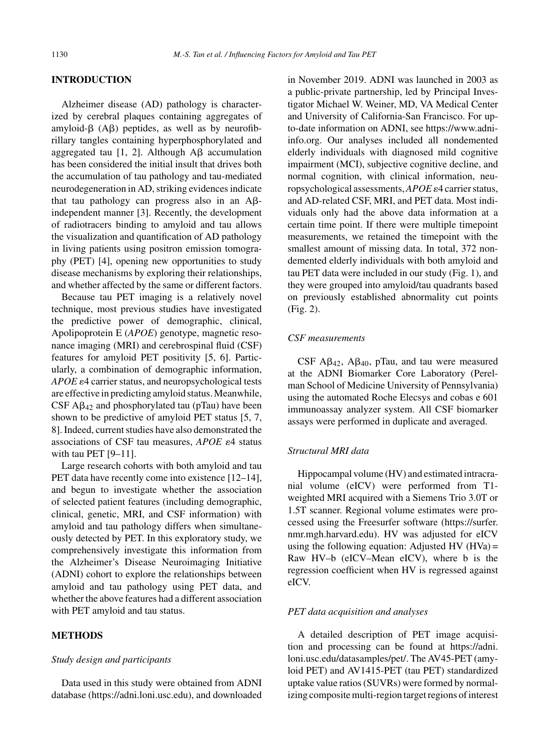## **INTRODUCTION**

Alzheimer disease (AD) pathology is characterized by cerebral plaques containing aggregates of amyloid- $\beta$  (A $\beta$ ) peptides, as well as by neurofibrillary tangles containing hyperphosphorylated and aggregated tau  $[1, 2]$ . Although A $\beta$  accumulation has been considered the initial insult that drives both the accumulation of tau pathology and tau-mediated neurodegeneration in AD, striking evidences indicate that tau pathology can progress also in an  $\mathsf{A}\mathsf{B}$ independent manner [3]. Recently, the development of radiotracers binding to amyloid and tau allows the visualization and quantification of AD pathology in living patients using positron emission tomography (PET) [4], opening new opportunities to study disease mechanisms by exploring their relationships, and whether affected by the same or different factors.

Because tau PET imaging is a relatively novel technique, most previous studies have investigated the predictive power of demographic, clinical, Apolipoprotein E (*APOE*) genotype, magnetic resonance imaging (MRI) and cerebrospinal fluid (CSF) features for amyloid PET positivity [5, 6]. Particularly, a combination of demographic information, *APOE*  $\varepsilon$ 4 carrier status, and neuropsychological tests are effective in predicting amyloid status. Meanwhile,  $CSF A\beta_{42}$  and phosphorylated tau (pTau) have been shown to be predictive of amyloid PET status [5, 7, 8]. Indeed, current studies have also demonstrated the associations of CSF tau measures, *APOE*  $\varepsilon$ 4 status with tau PET [9–11].

Large research cohorts with both amyloid and tau PET data have recently come into existence [12–14], and begun to investigate whether the association of selected patient features (including demographic, clinical, genetic, MRI, and CSF information) with amyloid and tau pathology differs when simultaneously detected by PET. In this exploratory study, we comprehensively investigate this information from the Alzheimer's Disease Neuroimaging Initiative (ADNI) cohort to explore the relationships between amyloid and tau pathology using PET data, and whether the above features had a different association with PET amyloid and tau status.

# **METHODS**

## *Study design and participants*

Data used in this study were obtained from ADNI database (<https://adni.loni.usc.edu>), and downloaded in November 2019. ADNI was launched in 2003 as a public-private partnership, led by Principal Investigator Michael W. Weiner, MD, VA Medical Center and University of California-San Francisco. For upto-date information on ADNI, see [https://www.adni](https://www.adni-info.org)info.org. Our analyses included all nondemented elderly individuals with diagnosed mild cognitive impairment (MCI), subjective cognitive decline, and normal cognition, with clinical information, neuropsychological assessments,  $APOE \varepsilon4$  carrier status, and AD-related CSF, MRI, and PET data. Most individuals only had the above data information at a certain time point. If there were multiple timepoint measurements, we retained the timepoint with the smallest amount of missing data. In total, 372 nondemented elderly individuals with both amyloid and tau PET data were included in our study (Fig. 1), and they were grouped into amyloid/tau quadrants based on previously established abnormality cut points (Fig. 2).

## *CSF measurements*

CSF  $\text{A}\beta_{42}$ ,  $\text{A}\beta_{40}$ , pTau, and tau were measured at the ADNI Biomarker Core Laboratory (Perelman School of Medicine University of Pennsylvania) using the automated Roche Elecsys and cobas e 601 immunoassay analyzer system. All CSF biomarker assays were performed in duplicate and averaged.

# *Structural MRI data*

Hippocampal volume (HV) and estimated intracranial volume (eICV) were performed from T1 weighted MRI acquired with a Siemens Trio 3.0T or 1.5T scanner. Regional volume estimates were processed using the Freesurfer software [\(https://surfer.](https://surfer.nmr.mgh.harvard.edu) nmr.mgh.harvard.edu). HV was adjusted for eICV using the following equation: Adjusted HV  $(HVa)$  = Raw HV–b (eICV–Mean eICV), where b is the regression coefficient when HV is regressed against eICV.

#### *PET data acquisition and analyses*

A detailed description of PET image acquisition and processing can be found at [https://adni.](https://adni.loni.usc.edu/datasamples/pet/) loni.usc.edu/datasamples/pet/. The AV45-PET (amyloid PET) and AV1415-PET (tau PET) standardized uptake value ratios (SUVRs) were formed by normalizing composite multi-region target regions of interest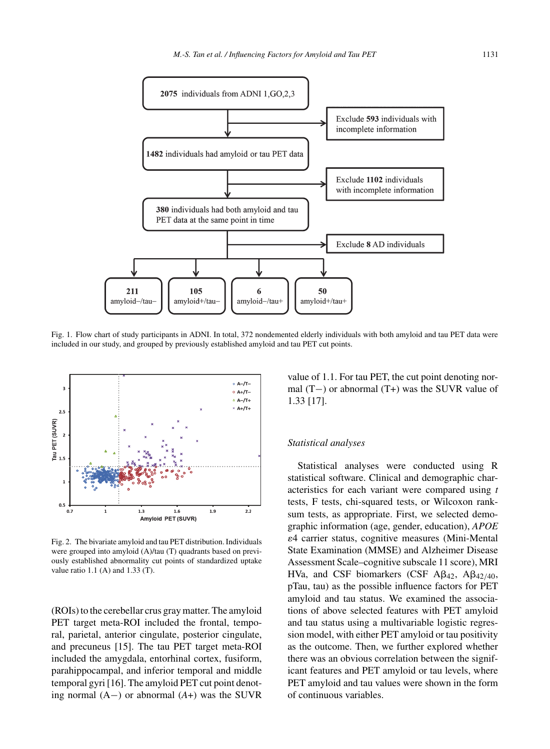

Fig. 1. Flow chart of study participants in ADNI. In total, 372 nondemented elderly individuals with both amyloid and tau PET data were included in our study, and grouped by previously established amyloid and tau PET cut points.



Fig. 2. The bivariate amyloid and tau PET distribution. Individuals were grouped into amyloid (A)/tau (T) quadrants based on previously established abnormality cut points of standardized uptake value ratio 1.1 (A) and 1.33 (T).

(ROIs) to the cerebellar crus gray matter. The amyloid PET target meta-ROI included the frontal, temporal, parietal, anterior cingulate, posterior cingulate, and precuneus [15]. The tau PET target meta-ROI included the amygdala, entorhinal cortex, fusiform, parahippocampal, and inferior temporal and middle temporal gyri [16]. The amyloid PET cut point denoting normal (A−) or abnormal (*A*+) was the SUVR

value of 1.1. For tau PET, the cut point denoting normal (T−) or abnormal (T+) was the SUVR value of 1.33 [17].

#### *Statistical analyses*

Statistical analyses were conducted using R statistical software. Clinical and demographic characteristics for each variant were compared using *t* tests, F tests, chi-squared tests, or Wilcoxon ranksum tests, as appropriate. First, we selected demographic information (age, gender, education), *APOE* 4 carrier status, cognitive measures (Mini-Mental State Examination (MMSE) and Alzheimer Disease Assessment Scale–cognitive subscale 11 score), MRI HVa, and CSF biomarkers (CSF A $\beta$ <sub>42</sub>, A $\beta$ <sub>42/40</sub>, pTau, tau) as the possible influence factors for PET amyloid and tau status. We examined the associations of above selected features with PET amyloid and tau status using a multivariable logistic regression model, with either PET amyloid or tau positivity as the outcome. Then, we further explored whether there was an obvious correlation between the significant features and PET amyloid or tau levels, where PET amyloid and tau values were shown in the form of continuous variables.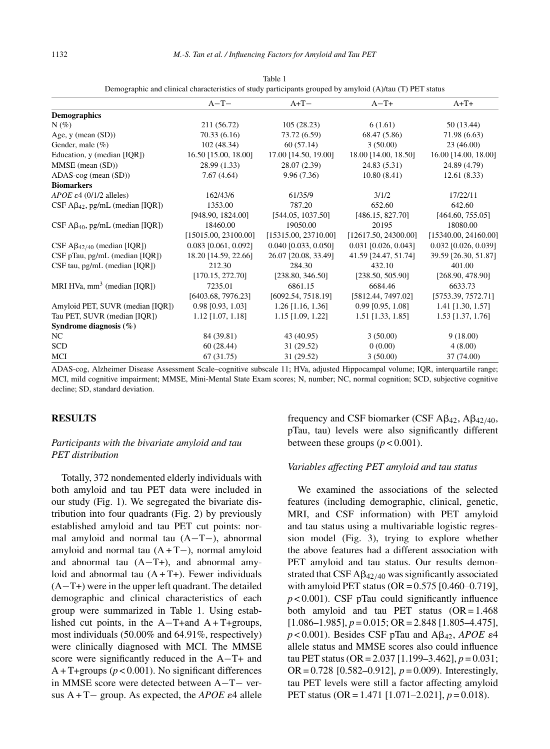|                                                 | $A-T-$               | $A+T-$                 | $A-T+$                 | $A+T+$               |
|-------------------------------------------------|----------------------|------------------------|------------------------|----------------------|
| <b>Demographics</b>                             |                      |                        |                        |                      |
| $N(\%)$                                         | 211 (56.72)          | 105(28.23)             | 6(1.61)                | 50(13.44)            |
| Age, $y$ (mean $(SD)$ )                         | 70.33 (6.16)         | 73.72 (6.59)           | 68.47 (5.86)           | 71.98 (6.63)         |
| Gender, male $(\% )$                            | 102(48.34)           | 60(57.14)              | 3(50.00)               | 23(46.00)            |
| Education, y (median [IQR])                     | 16.50 [15.00, 18.00] | 17.00 [14.50, 19.00]   | 18.00 [14.00, 18.50]   | 16.00 [14.00, 18.00] |
| MMSE (mean (SD))                                | 28.99 (1.33)         | 28.07 (2.39)           | 24.83 (5.31)           | 24.89 (4.79)         |
| $ADAS-cog (mean (SD))$                          | 7.67(4.64)           | 9.96(7.36)             | 10.80(8.41)            | 12.61(8.33)          |
| <b>Biomarkers</b>                               |                      |                        |                        |                      |
| $APOE$ $\varepsilon$ 4 (0/1/2 alleles)          | 162/43/6             | 61/35/9                | 3/1/2                  | 17/22/11             |
| CSF $\text{A}\beta_{42}$ , pg/mL (median [IQR]) | 1353.00              | 787.20                 | 652.60                 | 642.60               |
|                                                 | [948.90, 1824.00]    | [544.05, 1037.50]      | [486.15, 827.70]       | [464.60, 755.05]     |
| CSF $\text{A}\beta_{40}$ , pg/mL (median [IQR]) | 18460.00             | 19050.00               | 20195                  | 18080.00             |
|                                                 | [15015.00, 23100.00] | [15315.00, 23710.00]   | [12617.50, 24300.00]   | [15340.00, 24160.00] |
| CSF $\mathsf{AB}_{42/40}$ (median [IQR])        | 0.083 [0.061, 0.092] | $0.040$ [0.033, 0.050] | $0.031$ [0.026, 0.043] | 0.032 [0.026, 0.039] |
| $CSF$ pTau, pg/mL (median [IQR])                | 18.20 [14.59, 22.66] | 26.07 [20.08, 33.49]   | 41.59 [24.47, 51.74]   | 39.59 [26.30, 51.87] |
| CSF tau, pg/mL (median [IQR])                   | 212.30               | 284.30                 | 432.10                 | 401.00               |
|                                                 | [170.15, 272.70]     | [238.80, 346.50]       | [238.50, 505.90]       | [268.90, 478.90]     |
| MRI HVa, $mm3$ (median [IQR])                   | 7235.01              | 6861.15                | 6684.46                | 6633.73              |
|                                                 | [6403.68, 7976.23]   | [6092.54, 7518.19]     | [5812.44, 7497.02]     | [5753.39, 7572.71]   |
| Amyloid PET, SUVR (median [IQR])                | 0.98 [0.93, 1.03]    | $1.26$ [1.16, 1.36]    | $0.99$ [0.95, 1.08]    | 1.41 [1.30, 1.57]    |
| Tau PET, SUVR (median [IQR])                    | 1.12 [1.07, 1.18]    | $1.15$ [1.09, 1.22]    | $1.51$ [1.33, 1.85]    | $1.53$ [1.37, 1.76]  |
| Syndrome diagnosis $(\%)$                       |                      |                        |                        |                      |
| NC                                              | 84 (39.81)           | 43 (40.95)             | 3(50.00)               | 9(18.00)             |
| <b>SCD</b>                                      | 60(28.44)            | 31 (29.52)             | 0(0.00)                | 4(8.00)              |
| <b>MCI</b>                                      | 67(31.75)            | 31 (29.52)             | 3(50.00)               | 37 (74.00)           |

Table 1 Demographic and clinical characteristics of study participants grouped by amyloid (A)/tau (T) PET status

ADAS-cog, Alzheimer Disease Assessment Scale–cognitive subscale 11; HVa, adjusted Hippocampal volume; IQR, interquartile range; MCI, mild cognitive impairment; MMSE, Mini-Mental State Exam scores; N, number; NC, normal cognition; SCD, subjective cognitive decline; SD, standard deviation.

#### **RESULTS**

# *Participants with the bivariate amyloid and tau PET distribution*

Totally, 372 nondemented elderly individuals with both amyloid and tau PET data were included in our study (Fig. 1). We segregated the bivariate distribution into four quadrants (Fig. 2) by previously established amyloid and tau PET cut points: normal amyloid and normal tau (A−T−), abnormal amyloid and normal tau (A + T−), normal amyloid and abnormal tau (A−T+), and abnormal amyloid and abnormal tau  $(A + T+)$ . Fewer individuals (A−T+) were in the upper left quadrant. The detailed demographic and clinical characteristics of each group were summarized in Table 1. Using established cut points, in the A−T+and A + T+groups, most individuals (50.00% and 64.91%, respectively) were clinically diagnosed with MCI. The MMSE score were significantly reduced in the A−T+ and  $A + T +$ groups ( $p < 0.001$ ). No significant differences in MMSE score were detected between A−T− versus  $A + T -$  group. As expected, the *APOE*  $\varepsilon$ 4 allele frequency and CSF biomarker (CSF  $\text{A}\beta_{42}$ ,  $\text{A}\beta_{42/40}$ , pTau, tau) levels were also significantly different between these groups  $(p < 0.001)$ .

#### *Variables affecting PET amyloid and tau status*

We examined the associations of the selected features (including demographic, clinical, genetic, MRI, and CSF information) with PET amyloid and tau status using a multivariable logistic regression model (Fig. 3), trying to explore whether the above features had a different association with PET amyloid and tau status. Our results demonstrated that CSF  $A\beta_{42/40}$  was significantly associated with amyloid PET status  $(OR = 0.575 \, [0.460 - 0.719],$  $p$  < 0.001). CSF pTau could significantly influence both amyloid and tau PET status  $(OR = 1.468)$ [1.086–1.985], *p* = 0.015; OR = 2.848 [1.805–4.475],  $p < 0.001$ ). Besides CSF pTau and  $A\beta_{42}$ , *APOE*  $\varepsilon$ 4 allele status and MMSE scores also could influence tau PET status (OR = 2.037 [1.199–3.462], *p* = 0.031; OR = 0.728 [0.582–0.912], *p* = 0.009). Interestingly, tau PET levels were still a factor affecting amyloid PET status (OR = 1.471 [1.071–2.021], *p* = 0.018).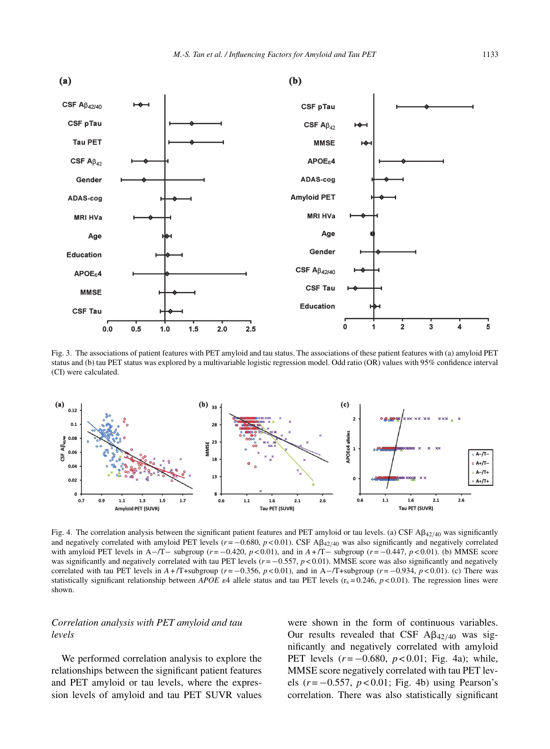

Fig. 3. The associations of patient features with PET amyloid and tau status. The associations of these patient features with (a) amyloid PET status and (b) tau PET status was explored by a multivariable logistic regression model. Odd ratio (OR) values with 95% confidence interval (CI) were calculated.



Fig. 4. The correlation analysis between the significant patient features and PET amyloid or tau levels. (a) CSF  $A\beta_{42/40}$  was significantly and negatively correlated with amyloid PET levels  $(r = -0.680, p < 0.01)$ . CSF A $\beta$ <sub>42/40</sub> was also significantly and negatively correlated with amyloid PET levels in A−/T− subgroup (*r* = −0.420, *p* < 0.01), and in *A* + /T− subgroup (*r* = −0.447, *p* < 0.01). (b) MMSE score was significantly and negatively correlated with tau PET levels ( $r = -0.557$ ,  $p < 0.01$ ). MMSE score was also significantly and negatively correlated with tau PET levels in  $A + T +$ subgroup ( $r = -0.356$ ,  $p < 0.01$ ), and in A- $T +$ subgroup ( $r = -0.934$ ,  $p < 0.01$ ). (c) There was statistically significant relationship between *APOE*  $\varepsilon$ 4 allele status and tau PET levels ( $r_s$  = 0.246,  $p$  < 0.01). The regression lines were shown.

# *Correlation analysis with PET amyloid and tau levels*

We performed correlation analysis to explore the relationships between the significant patient features and PET amyloid or tau levels, where the expression levels of amyloid and tau PET SUVR values

were shown in the form of continuous variables. Our results revealed that CSF  $A\beta_{42/40}$  was significantly and negatively correlated with amyloid PET levels (*r* = −0.680, *p* < 0.01; Fig. 4a); while, MMSE score negatively correlated with tau PET levels (*r* = −0.557, *p* < 0.01; Fig. 4b) using Pearson's correlation. There was also statistically significant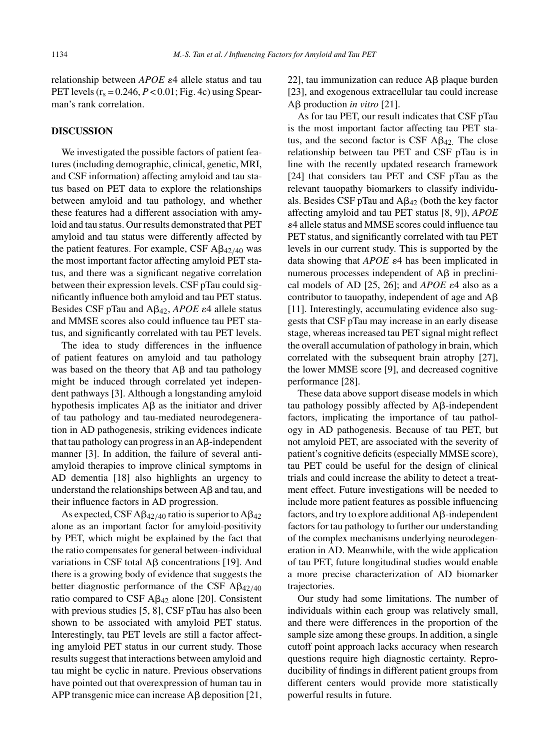relationship between *APOE*  $\varepsilon$ 4 allele status and tau PET levels  $(r_s = 0.246, P < 0.01$ ; Fig. 4c) using Spearman's rank correlation.

## **DISCUSSION**

We investigated the possible factors of patient features (including demographic, clinical, genetic, MRI, and CSF information) affecting amyloid and tau status based on PET data to explore the relationships between amyloid and tau pathology, and whether these features had a different association with amyloid and tau status. Our results demonstrated that PET amyloid and tau status were differently affected by the patient features. For example, CSF  $\text{A}\beta_{42/40}$  was the most important factor affecting amyloid PET status, and there was a significant negative correlation between their expression levels. CSF pTau could significantly influence both amyloid and tau PET status. Besides CSF pTau and  $A\beta_{42}$ ,  $APOE$   $\varepsilon$ 4 allele status and MMSE scores also could influence tau PET status, and significantly correlated with tau PET levels.

The idea to study differences in the influence of patient features on amyloid and tau pathology was based on the theory that  $A\beta$  and tau pathology might be induced through correlated yet independent pathways [3]. Although a longstanding amyloid hypothesis implicates  $A\beta$  as the initiator and driver of tau pathology and tau-mediated neurodegeneration in AD pathogenesis, striking evidences indicate that tau pathology can progress in an  $\mathsf{A}\mathsf{B}\text{-}\mathsf{independent}$ manner [3]. In addition, the failure of several antiamyloid therapies to improve clinical symptoms in AD dementia [18] also highlights an urgency to understand the relationships between  $\mathsf{A}\beta$  and tau, and their influence factors in AD progression.

As expected, CSF A $\beta_{42/40}$  ratio is superior to A $\beta_{42}$ alone as an important factor for amyloid-positivity by PET, which might be explained by the fact that the ratio compensates for general between-individual variations in CSF total  $\mathsf{A}\beta$  concentrations [19]. And there is a growing body of evidence that suggests the better diagnostic performance of the CSF  $A\beta_{42/40}$ ratio compared to CSF  $A\beta_{42}$  alone [20]. Consistent with previous studies [5, 8], CSF pTau has also been shown to be associated with amyloid PET status. Interestingly, tau PET levels are still a factor affecting amyloid PET status in our current study. Those results suggest that interactions between amyloid and tau might be cyclic in nature. Previous observations have pointed out that overexpression of human tau in APP transgenic mice can increase  $\text{A}\beta$  deposition [21,

22], tau immunization can reduce  $\text{A}\beta$  plaque burden [23], and exogenous extracellular tau could increase  $A\beta$  production *in vitro* [21].

As for tau PET, our result indicates that CSF pTau is the most important factor affecting tau PET status, and the second factor is CSF  $A\beta_{42}$ . The close relationship between tau PET and CSF pTau is in line with the recently updated research framework [24] that considers tau PET and CSF pTau as the relevant tauopathy biomarkers to classify individuals. Besides CSF pTau and  $A\beta_{42}$  (both the key factor affecting amyloid and tau PET status [8, 9]), *APOE* 4 allele status and MMSE scores could influence tau PET status, and significantly correlated with tau PET levels in our current study. This is supported by the data showing that  $APOE \varepsilon_4$  has been implicated in numerous processes independent of  $A\beta$  in preclinical models of AD  $[25, 26]$ ; and *APOE*  $\varepsilon$ 4 also as a contributor to tauopathy, independent of age and  $A\beta$ [11]. Interestingly, accumulating evidence also suggests that CSF pTau may increase in an early disease stage, whereas increased tau PET signal might reflect the overall accumulation of pathology in brain, which correlated with the subsequent brain atrophy [27], the lower MMSE score [9], and decreased cognitive performance [28].

These data above support disease models in which tau pathology possibly affected by  $A\beta$ -independent factors, implicating the importance of tau pathology in AD pathogenesis. Because of tau PET, but not amyloid PET, are associated with the severity of patient's cognitive deficits (especially MMSE score), tau PET could be useful for the design of clinical trials and could increase the ability to detect a treatment effect. Future investigations will be needed to include more patient features as possible influencing factors, and try to explore additional  $\mathsf{A}\mathsf{B}\text{-}\mathsf{independent}$ factors for tau pathology to further our understanding of the complex mechanisms underlying neurodegeneration in AD. Meanwhile, with the wide application of tau PET, future longitudinal studies would enable a more precise characterization of AD biomarker trajectories.

Our study had some limitations. The number of individuals within each group was relatively small, and there were differences in the proportion of the sample size among these groups. In addition, a single cutoff point approach lacks accuracy when research questions require high diagnostic certainty. Reproducibility of findings in different patient groups from different centers would provide more statistically powerful results in future.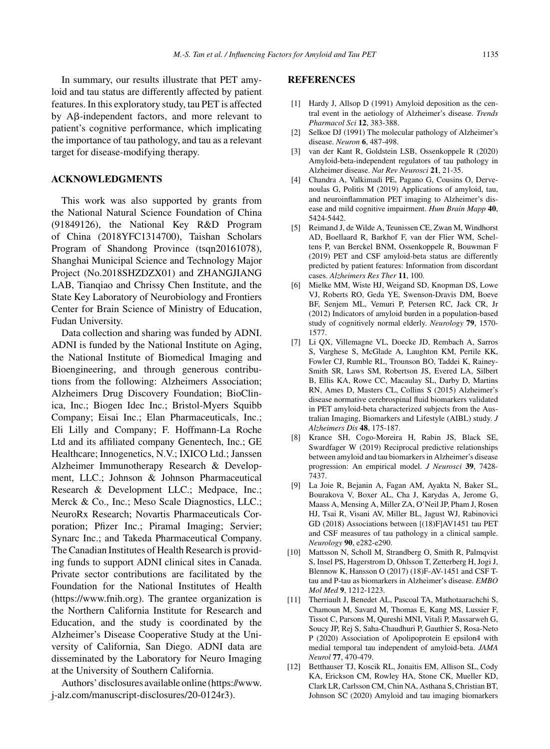In summary, our results illustrate that PET amyloid and tau status are differently affected by patient features. In this exploratory study, tau PET is affected by Aß-independent factors, and more relevant to patient's cognitive performance, which implicating the importance of tau pathology, and tau as a relevant target for disease-modifying therapy.

# **ACKNOWLEDGMENTS**

This work was also supported by grants from the National Natural Science Foundation of China (91849126), the National Key R&D Program of China (2018YFC1314700), Taishan Scholars Program of Shandong Province (tsqn20161078), Shanghai Municipal Science and Technology Major Project (No.2018SHZDZX01) and ZHANGJIANG LAB, Tianqiao and Chrissy Chen Institute, and the State Key Laboratory of Neurobiology and Frontiers Center for Brain Science of Ministry of Education, Fudan University.

Data collection and sharing was funded by ADNI. ADNI is funded by the National Institute on Aging, the National Institute of Biomedical Imaging and Bioengineering, and through generous contributions from the following: Alzheimers Association; Alzheimers Drug Discovery Foundation; BioClinica, Inc.; Biogen Idec Inc.; Bristol-Myers Squibb Company; Eisai Inc.; Elan Pharmaceuticals, Inc.; Eli Lilly and Company; F. Hoffmann-La Roche Ltd and its affiliated company Genentech, Inc.; GE Healthcare; Innogenetics, N.V.; IXICO Ltd.; Janssen Alzheimer Immunotherapy Research & Development, LLC.; Johnson & Johnson Pharmaceutical Research & Development LLC.; Medpace, Inc.; Merck & Co., Inc.; Meso Scale Diagnostics, LLC.; NeuroRx Research; Novartis Pharmaceuticals Corporation; Pfizer Inc.; Piramal Imaging; Servier; Synarc Inc.; and Takeda Pharmaceutical Company. The Canadian Institutes of Health Research is providing funds to support ADNI clinical sites in Canada. Private sector contributions are facilitated by the Foundation for the National Institutes of Health [\(https://www.fnih.org](https://www.fnih.org)). The grantee organization is the Northern California Institute for Research and Education, and the study is coordinated by the Alzheimer's Disease Cooperative Study at the University of California, San Diego. ADNI data are disseminated by the Laboratory for Neuro Imaging at the University of Southern California.

Authors' disclosures available online (https://www. j-alz.com/manuscript-disclosures/20-0124r3).

# **REFERENCES**

- [1] Hardy J, Allsop D (1991) Amyloid deposition as the central event in the aetiology of Alzheimer's disease. *Trends Pharmacol Sci* **12**, 383-388.
- [2] Selkoe DJ (1991) The molecular pathology of Alzheimer's disease. *Neuron* **6**, 487-498.
- [3] van der Kant R, Goldstein LSB, Ossenkoppele R (2020) Amyloid-beta-independent regulators of tau pathology in Alzheimer disease. *Nat Rev Neurosci* **21**, 21-35.
- [4] Chandra A, Valkimadi PE, Pagano G, Cousins O, Dervenoulas G, Politis M (2019) Applications of amyloid, tau, and neuroinflammation PET imaging to Alzheimer's disease and mild cognitive impairment. *Hum Brain Mapp* **40**, 5424-5442.
- [5] Reimand J, de Wilde A, Teunissen CE, Zwan M, Windhorst AD, Boellaard R, Barkhof F, van der Flier WM, Scheltens P, van Berckel BNM, Ossenkoppele R, Bouwman F (2019) PET and CSF amyloid-beta status are differently predicted by patient features: Information from discordant cases. *Alzheimers Res Ther* **11**, 100.
- [6] Mielke MM, Wiste HJ, Weigand SD, Knopman DS, Lowe VJ, Roberts RO, Geda YE, Swenson-Dravis DM, Boeve BF, Senjem ML, Vemuri P, Petersen RC, Jack CR, Jr (2012) Indicators of amyloid burden in a population-based study of cognitively normal elderly. *Neurology* **79**, 1570- 1577.
- [7] Li QX, Villemagne VL, Doecke JD, Rembach A, Sarros S, Varghese S, McGlade A, Laughton KM, Pertile KK, Fowler CJ, Rumble RL, Trounson BO, Taddei K, Rainey-Smith SR, Laws SM, Robertson JS, Evered LA, Silbert B, Ellis KA, Rowe CC, Macaulay SL, Darby D, Martins RN, Ames D, Masters CL, Collins S (2015) Alzheimer's disease normative cerebrospinal fluid biomarkers validated in PET amyloid-beta characterized subjects from the Australian Imaging, Biomarkers and Lifestyle (AIBL) study. *J Alzheimers Dis* **48**, 175-187.
- [8] Krance SH, Cogo-Moreira H, Rabin JS, Black SE, Swardfager W (2019) Reciprocal predictive relationships between amyloid and tau biomarkers in Alzheimer's disease progression: An empirical model. *J Neurosci* **39**, 7428- 7437.
- [9] La Joie R, Bejanin A, Fagan AM, Ayakta N, Baker SL, Bourakova V, Boxer AL, Cha J, Karydas A, Jerome G, Maass A, Mensing A, Miller ZA, O'Neil JP, Pham J, Rosen HJ, Tsai R, Visani AV, Miller BL, Jagust WJ, Rabinovici GD (2018) Associations between [(18)F]AV1451 tau PET and CSF measures of tau pathology in a clinical sample. *Neurology* **90**, e282-e290.
- [10] Mattsson N, Scholl M, Strandberg O, Smith R, Palmqvist S, Insel PS, Hagerstrom D, Ohlsson T, Zetterberg H, Jogi J, Blennow K, Hansson O (2017) (18)F-AV-1451 and CSF Ttau and P-tau as biomarkers in Alzheimer's disease. *EMBO Mol Med* **9**, 1212-1223.
- [11] Therriault J, Benedet AL, Pascoal TA, Mathotaarachchi S, Chamoun M, Savard M, Thomas E, Kang MS, Lussier F, Tissot C, Parsons M, Qureshi MNI, Vitali P, Massarweh G, Soucy JP, Rej S, Saha-Chaudhuri P, Gauthier S, Rosa-Neto P (2020) Association of Apolipoprotein E epsilon4 with medial temporal tau independent of amyloid-beta. *JAMA Neurol* **77**, 470-479.
- [12] Betthauser TJ, Koscik RL, Jonaitis EM, Allison SL, Cody KA, Erickson CM, Rowley HA, Stone CK, Mueller KD, [Clark](https://www.j-alz.com/manuscript-disclosures/20-0124r3) [LR,](https://www.j-alz.com/manuscript-disclosures/20-0124r3) [Carlsson](https://www.j-alz.com/manuscript-disclosures/20-0124r3) [CM,](https://www.j-alz.com/manuscript-disclosures/20-0124r3) [Chin](https://www.j-alz.com/manuscript-disclosures/20-0124r3) [NA,](https://www.j-alz.com/manuscript-disclosures/20-0124r3) [Asthan](https://www.j-alz.com/manuscript-disclosures/20-0124r3)a S, Christian BT, Johnson SC (2020) Amyloid and tau imaging biomarkers